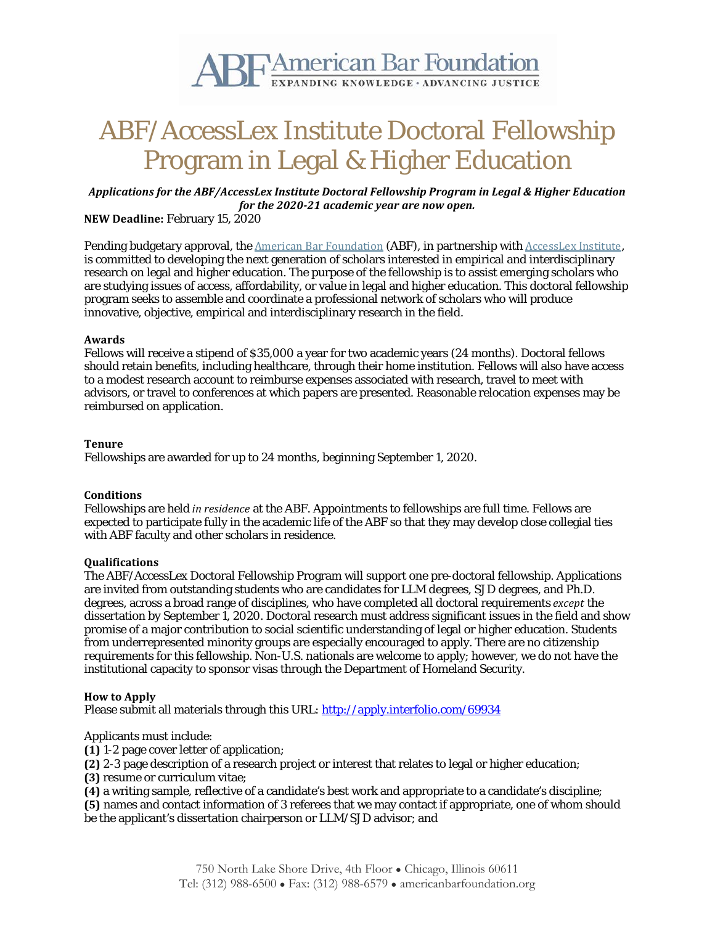

# ABF/AccessLex Institute Doctoral Fellowship Program in Legal & Higher Education

*Applications for the ABF/AccessLex Institute Doctoral Fellowship Program in Legal & Higher Education for the 2020-21 academic year are now open.*

**NEW Deadline:** February 15, 2020

Pending budgetary approval, the American Bar [Foundation](http://www.americanbarfoundation.org/about/index.html) (ABF), in partnership with [AccessLex](https://www.accesslex.org/) Institute, is committed to developing the next generation of scholars interested in empirical and interdisciplinary research on legal and higher education. The purpose of the fellowship is to assist emerging scholars who are studying issues of access, affordability, or value in legal and higher education. This doctoral fellowship program seeks to assemble and coordinate a professional network of scholars who will produce innovative, objective, empirical and interdisciplinary research in the field.

### **Awards**

Fellows will receive a stipend of \$35,000 a year for two academic years (24 months). Doctoral fellows should retain benefits, including healthcare, through their home institution. Fellows will also have access to a modest research account to reimburse expenses associated with research, travel to meet with advisors, or travel to conferences at which papers are presented. Reasonable relocation expenses may be reimbursed on application.

## **Tenure**

Fellowships are awarded for up to 24 months, beginning September 1, 2020.

## **Conditions**

Fellowships are held *in residence* at the ABF. Appointments to fellowships are full time. Fellows are expected to participate fully in the academic life of the ABF so that they may develop close collegial ties with ABF faculty and other scholars in residence.

#### **Qualifications**

The ABF/AccessLex Doctoral Fellowship Program will support one pre-doctoral fellowship. Applications are invited from outstanding students who are candidates for LLM degrees, SJD degrees, and Ph.D. degrees, across a broad range of disciplines, who have completed all doctoral requirements *except* the dissertation by September 1, 2020. Doctoral research must address significant issues in the field and show promise of a major contribution to social scientific understanding of legal or higher education. Students from underrepresented minority groups are especially encouraged to apply. There are no citizenship requirements for this fellowship. Non-U.S. nationals are welcome to apply; however, we do not have the institutional capacity to sponsor visas through the Department of Homeland Security.

#### **How to Apply**

Please submit all materials through this URL: <http://apply.interfolio.com/69934>

Applicants must include:

**(1)** 1-2 page cover letter of application;

**(2)** 2-3 page description of a research project or interest that relates to legal or higher education;

**(3)** resume or curriculum vitae;

**(4)** a writing sample, reflective of a candidate's best work and appropriate to a candidate's discipline;

**(5)** names and contact information of 3 referees that we may contact if appropriate, one of whom should be the applicant's dissertation chairperson or LLM/SJD advisor; and